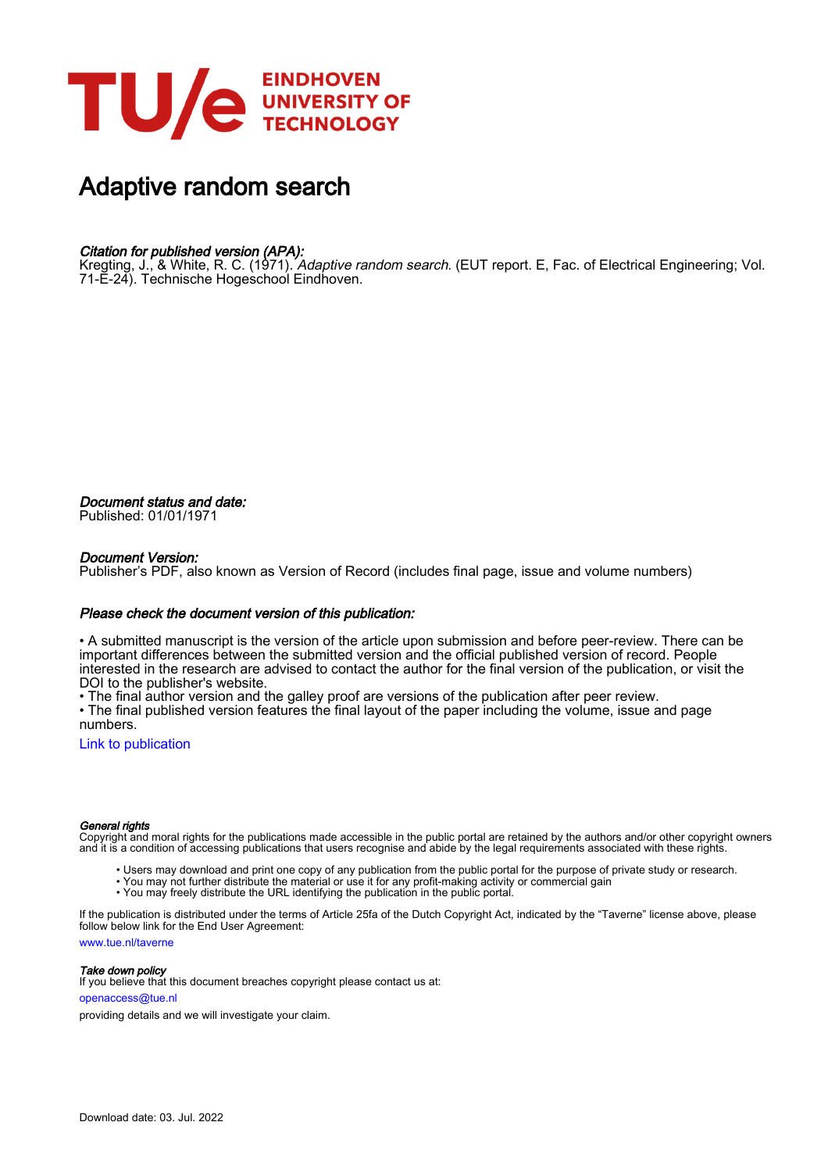

# Adaptive random search

### Citation for published version (APA):

Kregting, J., & White, R. C. (1971). *Adaptive random search*. (EUT report. E, Fac. of Electrical Engineering; Vol. 71-E-24). Technische Hogeschool Eindhoven.

Document status and date: Published: 01/01/1971

#### Document Version:

Publisher's PDF, also known as Version of Record (includes final page, issue and volume numbers)

#### Please check the document version of this publication:

• A submitted manuscript is the version of the article upon submission and before peer-review. There can be important differences between the submitted version and the official published version of record. People interested in the research are advised to contact the author for the final version of the publication, or visit the DOI to the publisher's website.

• The final author version and the galley proof are versions of the publication after peer review.

• The final published version features the final layout of the paper including the volume, issue and page numbers.

[Link to publication](https://research.tue.nl/en/publications/3d0d86d7-69f3-49a8-ac28-50323f454ff7)

#### General rights

Copyright and moral rights for the publications made accessible in the public portal are retained by the authors and/or other copyright owners and it is a condition of accessing publications that users recognise and abide by the legal requirements associated with these rights.

- Users may download and print one copy of any publication from the public portal for the purpose of private study or research.
- You may not further distribute the material or use it for any profit-making activity or commercial gain
- You may freely distribute the URL identifying the publication in the public portal.

If the publication is distributed under the terms of Article 25fa of the Dutch Copyright Act, indicated by the "Taverne" license above, please follow below link for the End User Agreement:

www.tue.nl/taverne

**Take down policy**<br>If you believe that this document breaches copyright please contact us at:

openaccess@tue.nl

providing details and we will investigate your claim.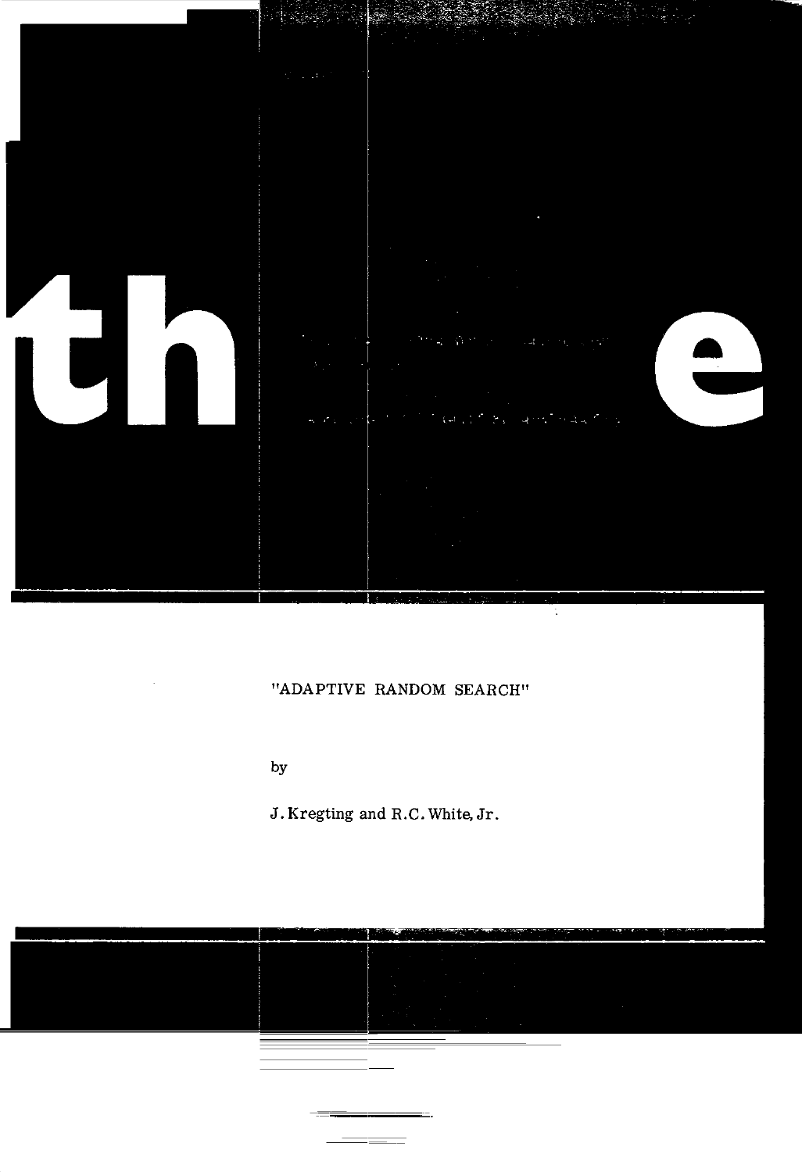

## "ADAPTIVE RANDOM SEARCH"

by

 $\sim$ 

J. Kregting and R.C. White, Jr.



 $=$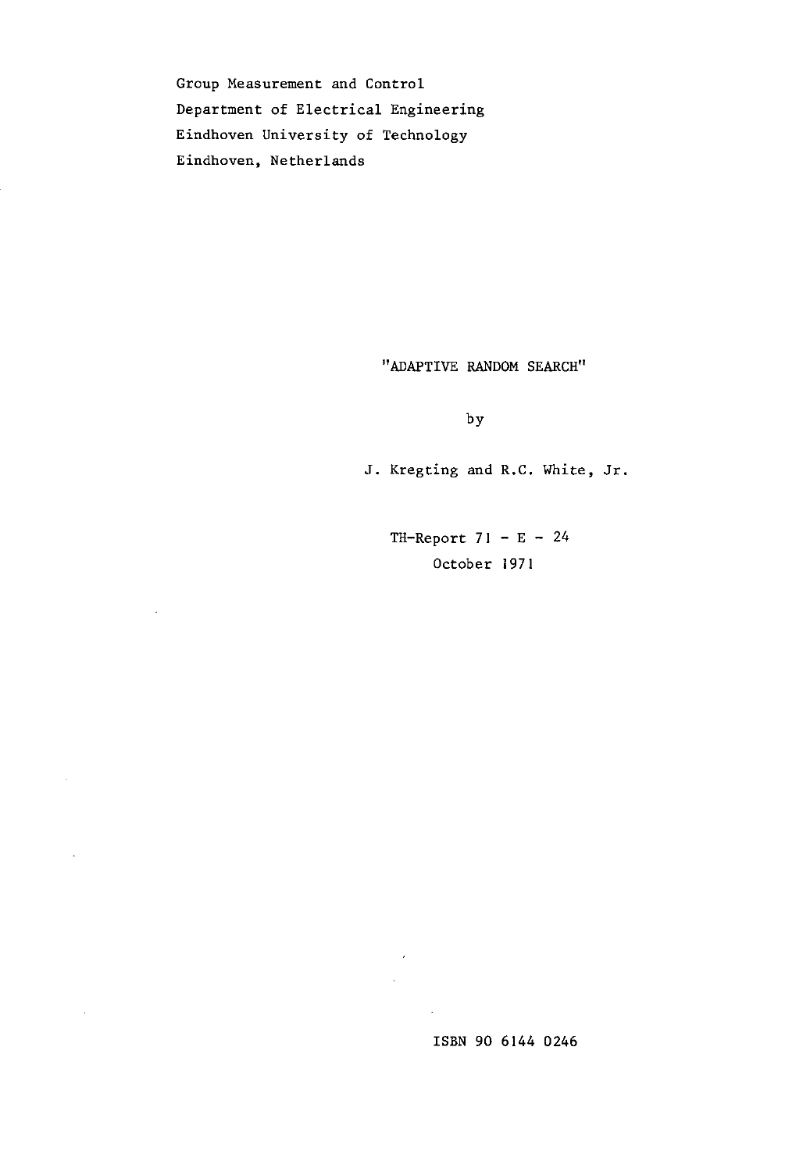Group Measurement and Control Department of Electrical Engineering Eindhoven University of Technology Eindhoven, Netherlands

 $\overline{\phantom{a}}$ 

 $\mathcal{L}^{\mathcal{L}}$ 

 $\bar{z}$ 

 $\sim$ 

"ADAPTIVE RANDOM SEARCH"

by

J. Kregting and R.C. White, Jr.

TH-Report  $71 - E - 24$ October 1971

ISBN 90 6144 0246

 $\sim$  $\hat{\mathcal{A}}$ 

 $\mathcal{L}^{\mathcal{L}}$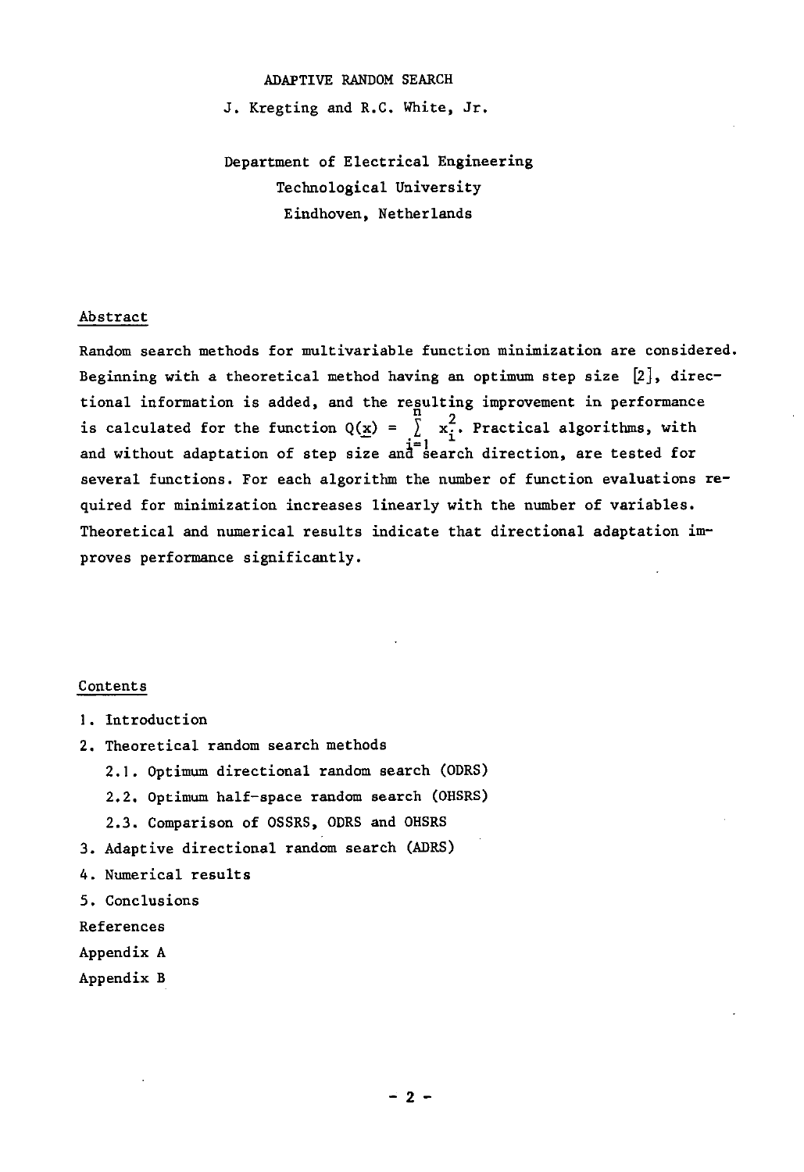#### ADAPTIVE RANDOM SEARCH

J. Kregting and R.C. White, Jr.

## Department of Electrical Engineering Technological University Eindhoven, Netherlands

#### Abstract

Random search methods for multivariable function minimization are considered. Beginning with a theoretical method having an optimum step size  $[2]$ , directional information is added, and the regulting improvement in performance is calculated for the function  $Q(x) = \sum_{i=1}^{n} x_i^2$ . Practical algorithms, with and without adaptation of step size and search direction, are tested for several functions. For each algorithm the number of function evaluations required for minimization increases linearly with the number of variables. Theoretical and numerical results indicate that directional adaptation improves performance significantly.

#### Contents

- 1. Introduction
- 2. Theoretical random search methods
	- 2.1. Optimum directional random search (ODRS)
	- 2.2. Optimum half-space random search (OHSRS)
	- 2.3. Comparison of OSSRS, ODRS and OHSRS
- 3. Adaptive directional random search (ADRS)
- 4. Numerical results
- 5. Conclusions
- References
- Appendix A
- Appendix B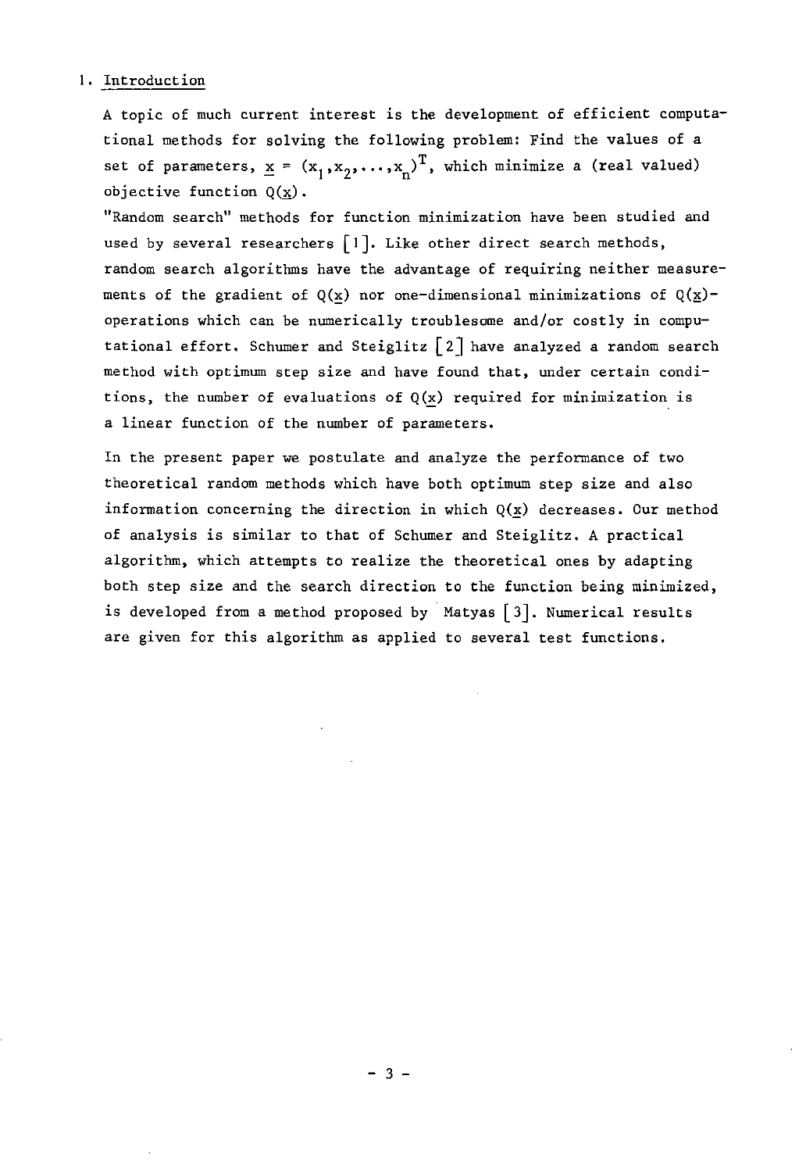#### I. Introduction

A topic of much current interest is the development of efficient computational methods for solving the following problem: Find the values of a set of parameters,  $\underline{x} = (x_1, x_2, ..., x_n)^T$ , which minimize a (real valued) objective function  $Q(x)$ .

"Random search" methods for function minimization have been studied and used by several researchers  $\lceil 1 \rceil$ . Like other direct search methods, random search algorithms have the advantage of requiring neither measurements of the gradient of  $Q(x)$  nor one-dimensional minimizations of  $Q(x)$ operations which can be numerically troublesome and/or costly in computational effort. Schumer and Steiglitz  $\lceil 2 \rceil$  have analyzed a random search method with optimum step size and have found that, under certain conditions, the number of evaluations of  $Q(x)$  required for minimization is a linear function of the number of parameters.

In the present paper we postulate and analyze the performance of two theoretical random methods which have both optimum step size and also information concerning the direction in which  $Q(x)$  decreases. Our method of analysis is similar to that of Schumer and Steiglitz. A practical algorithm. which attempts to realize the theoretical ones by adapting both step size and the search direction to the function being minimized. is developed from a method proposed by Matyas  $\lceil 3 \rceil$ . Numerical results are given for this algorithm as applied to several test functions.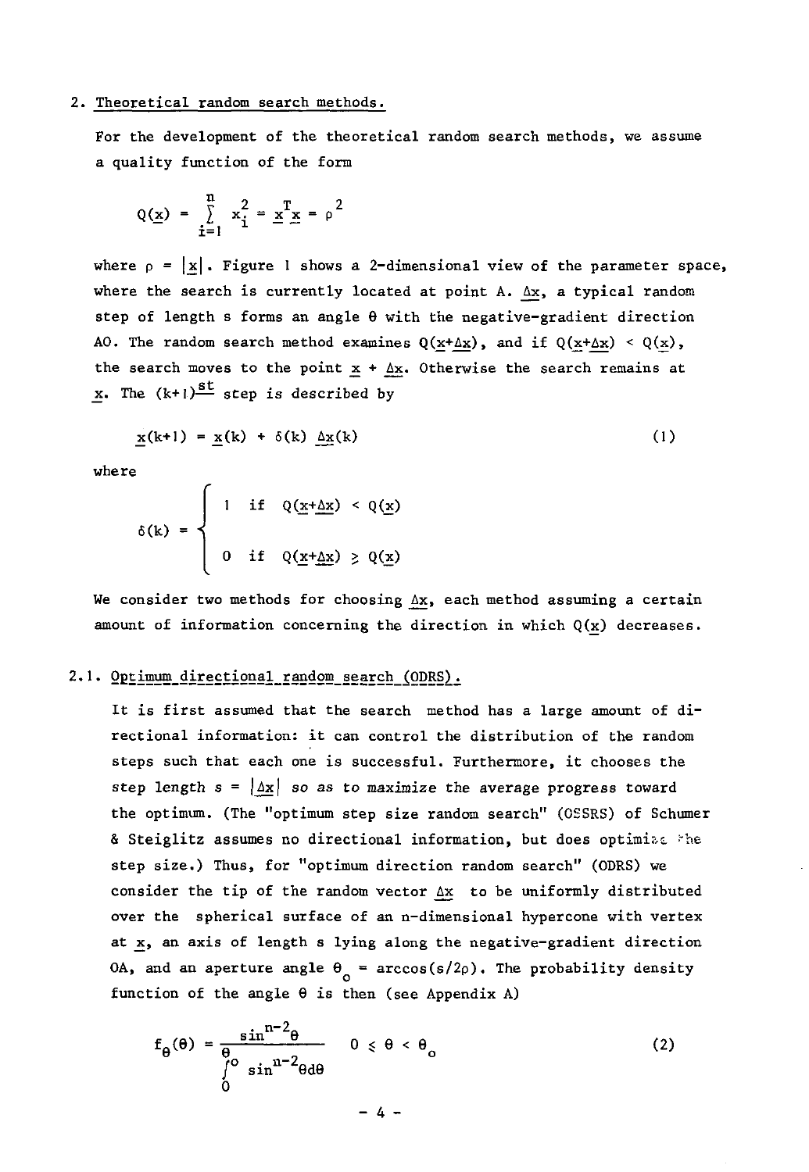#### 2. Theoretical random search methods.

For the development of the theoretical random search methods, we assume a quality function of the form

$$
Q(\underline{x}) = \sum_{i=1}^{n} x_i^2 = \underline{x}^T \underline{x} = \rho^2
$$

where  $p = |x|$ . Figure 1 shows a 2-dimensional view of the parameter space, where the search is currently located at point A.  $\Delta x$ , a typical random step of length s forms an angle  $\theta$  with the negative-gradient direction AO. The random search method examines  $Q(x+\Delta x)$ , and if  $Q(x+\Delta x) < Q(x)$ , the search moves to the point  $x + \Delta x$ . Otherwise the search remains at x. The  $(k+1)$ <sup>st</sup> step is described by

$$
\mathbf{x}(k+1) = \mathbf{x}(k) + \delta(k) \Delta \mathbf{x}(k) \tag{1}
$$

where

$$
\delta(k) = \begin{cases} 1 & \text{if } Q(\underline{x} + \underline{\Delta x}) < Q(\underline{x}) \\ 0 & \text{if } Q(\underline{x} + \underline{\Delta x}) \geq Q(\underline{x}) \end{cases}
$$

We consider two methods for choosing  $\Delta x$ , each method assuming a certain amount of information concerning the direction in which  $Q(x)$  decreases.

#### 2.1. Optimum directional random search (ODRS).

It is first assumed that the search method has a large amount of directional information: it can control the distribution of the random steps such that each one is successful. Furthermore, it chooses the step length  $s = |\Delta x|$  so as to maximize the average progress toward the optimum. (The "optimum step size random search" (OSSRS) of Schumer & Steiglitz assumes no directional information, but does optimize the step size.) Thus, **for "optimum** direction **random search"** (ODRS) we consider the tip of the random vector  $\Delta x$  to be uniformly distributed over the spherical surface of an n-dimensional hypercone with vertex at x, an axis of length s lying along the negative-gradient direction OA, and an aperture angle  $\theta_0 = \arccos(s/2\rho)$ . The probability density function of the angle  $\theta$  is then (see Appendix A)

$$
f_{\theta}(\theta) = \frac{\sin^{n-2}\theta}{\int_{0}^{\theta} \sin^{n-2}\theta d\theta} \qquad 0 \le \theta < \theta_{o}
$$
 (2)

 $- 4 -$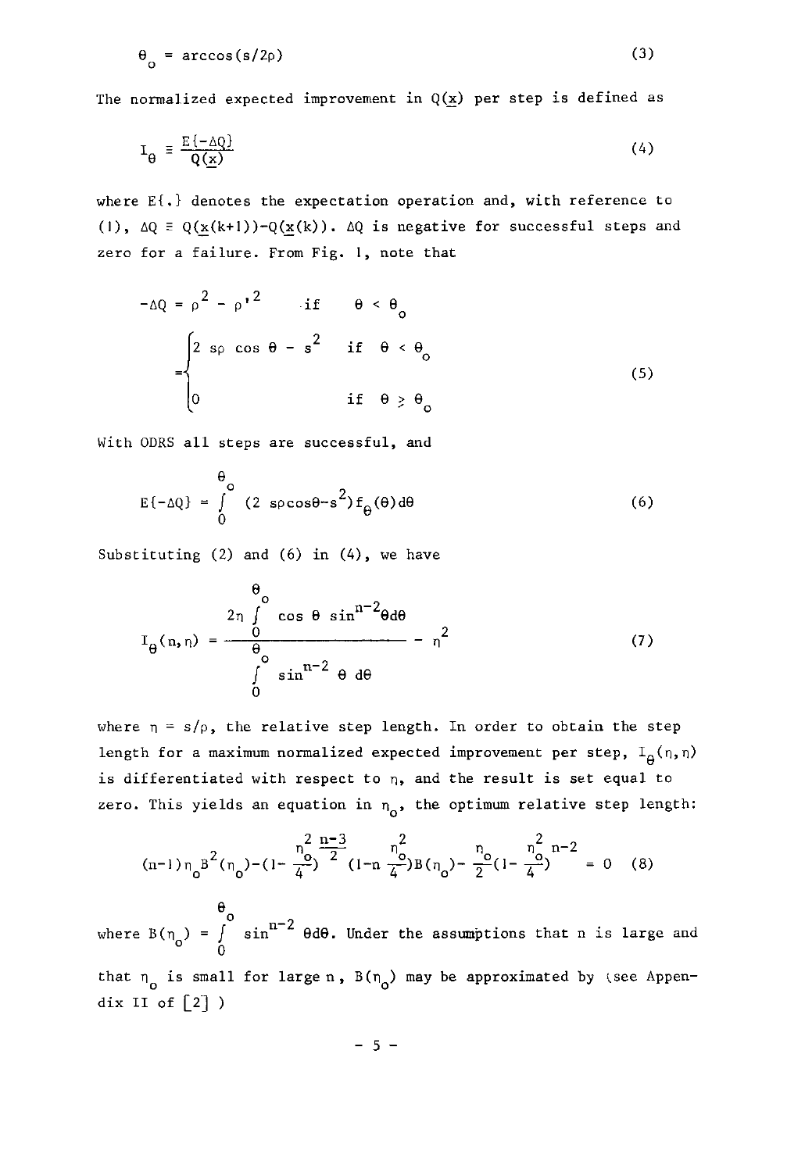$$
\theta_{o} = \arccos(s/2\rho) \tag{3}
$$

The normalized expected improvement in  $Q(x)$  per step is defined as

$$
\mathbf{I}_{\Theta} = \frac{\mathbf{E}\{-\Delta Q\}}{Q(\underline{\mathbf{x}})}\tag{4}
$$

where  $E\{\cdot\}$  denotes the expectation operation and, with reference to (1),  $\Delta Q = Q(x(k+1)) - Q(x(k))$ .  $\Delta Q$  is negative for successful steps and zero for a failure. From Fig. **I,** note that

$$
-\Delta Q = \rho^2 - {\rho'}^2 \quad \text{if} \quad \theta < \theta_o
$$

$$
= \begin{cases} 2 \text{ so } \cos \theta - s^2 & \text{if } \theta < \theta_o \\ 0 & \text{if } \theta \ge \theta_o \end{cases}
$$
(5)

With ODRS all steps are **successful, and** 

$$
E\{-\Delta Q\} = \int_{0}^{\Theta} (2 \text{ s} \rho \cos \theta - s^{2}) f_{\Theta}(\theta) d\theta
$$
 (6)

Substituting  $(2)$  and  $(6)$  in  $(4)$ , we have

$$
I_{\theta}(n, \eta) = \frac{\frac{\theta_0}{n}}{\int_0^{\theta_0} \sin^{n-2} \theta \, d\theta} - \eta^2
$$
 (7)

where  $n = s/\rho$ , the relative step length. In order to obtain the step length for a maximum normalized expected improvement per step,  $I_A(n,n)$ is differentiated with respect to  $\eta$ , and the result is set equal to zero. This yields an equation in  $n_{\alpha}$ , the optimum relative step length:

$$
(n-1)\eta_0 B^2(\eta_0) - (1 - \frac{\eta_0^2}{4})^{\frac{n-3}{2}} (1 - n\frac{\eta_0^2}{4})B(\eta_0) - \frac{\eta_0}{2}(1 - \frac{\eta_0^2}{4})^{n-2} = 0
$$
 (8)

where  $B(\eta_o) = \int_0^{\theta_o} \sin^{n-2} \theta d\theta$ . Under the assumptions that n is large and that  $n_0$  is small for large n,  $B(n_0)$  may be approximated by (see Appendix II of  $\lceil 2 \rceil$ )

 $- 5 -$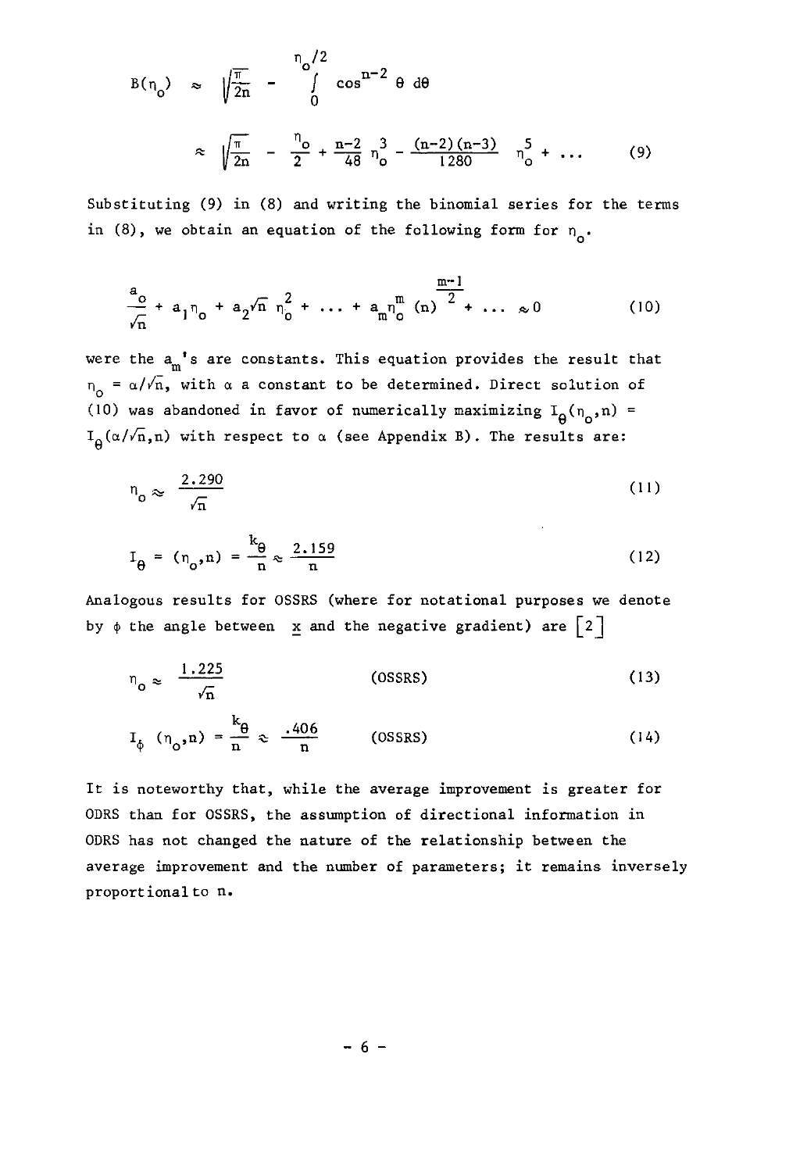$$
B(n_0) \approx \sqrt{\frac{\pi}{2n}} - \int_0^{\pi} \cos^{n-2} \theta \ d\theta
$$

$$
\approx \sqrt{\frac{\pi}{2n}} - \frac{n_0}{2} + \frac{n-2}{48} n_0^3 - \frac{(n-2)(n-3)}{1280} n_0^5 + \dots \qquad (9)
$$

Substituting (9) in (8) and writing the binomial series for the terms in (8), we obtain an equation of the following form for  $n_a$ .

$$
\frac{a_0}{\sqrt{n}} + a_1 n_0 + a_2 \sqrt{n} n_0^2 + \dots + a_m n_0^m (n) \frac{m-1}{2} + \dots \approx 0
$$
 (10)

were the  $a_m$ 's are constants. This equation provides the result that  $n_0 = \alpha/\sqrt{n}$ , with  $\alpha$  a constant to be determined. Direct solution of (10) was abandoned in favor of numerically maximizing  $I_{\theta}(n_o, n)$  =  $I_{\theta}(\alpha/\sqrt{n},n)$  with respect to  $\alpha$  (see Appendix B). The results are:

$$
n_o \approx \frac{2.290}{\sqrt{n}}\tag{11}
$$

**Contractor** 

$$
I_{\theta} = (n_{\theta}, n) = \frac{k_{\theta}}{n} \approx \frac{2.159}{n}
$$
 (12)

Analogous results for OSSRS (where for notational purposes we denote by  $\phi$  the angle between  $\underline{x}$  and the negative gradient) are  $\begin{bmatrix} 2 \end{bmatrix}$ 

$$
n_o \approx \frac{1.225}{\sqrt{n}} \tag{13}
$$

$$
I_{\phi} \left( n_{o}, n \right) = \frac{k_{\theta}}{n} \approx \frac{.406}{n} \quad (0SSSRS)
$$
 (14)

It is noteworthy that, while the average improvement is greater for ODRS than for OSSRS, the assumption of directional information in ODRS has not changed the nature of the relationship between the average improvement and the number of parameters; it remains inversely proportional to n.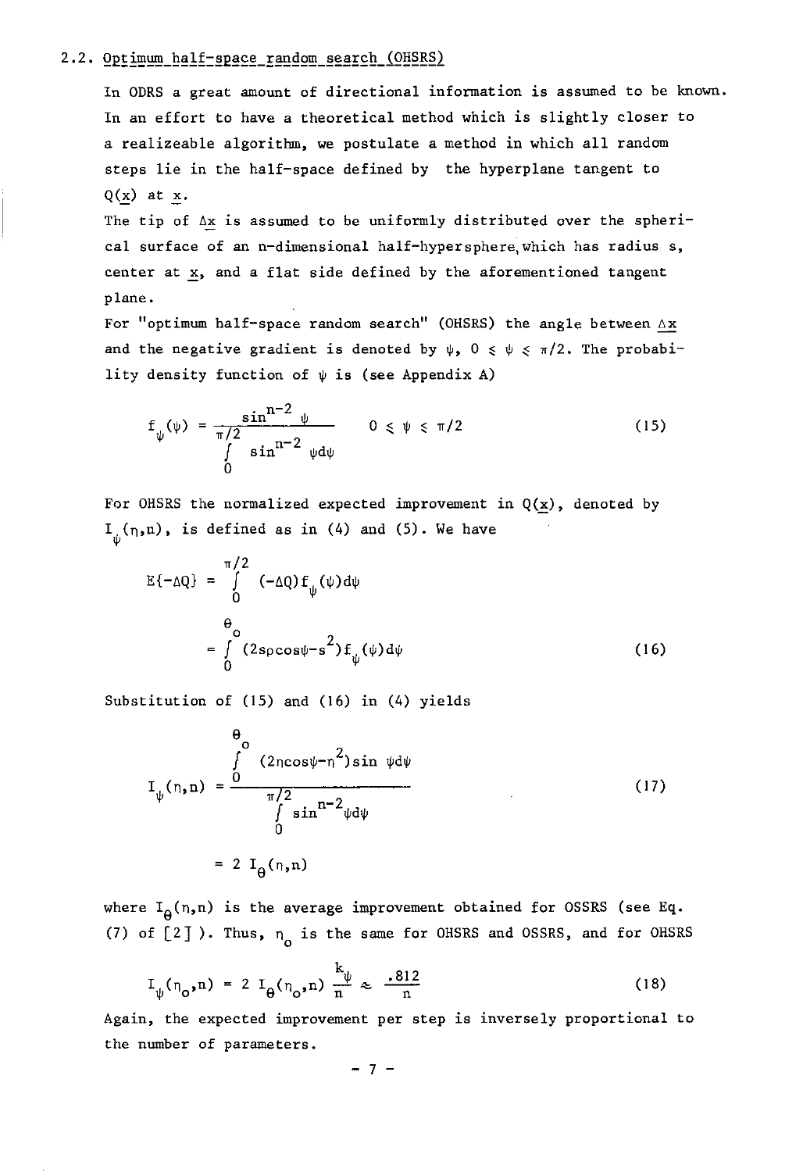#### 2.2. Optimum half-space random search (OHSRS)

In ODRS a great amount of directional information is assumed to be known. In an effort to have a theoretical method which is slightly closer to a realizeable algorithm, we postulate a method in which all random steps lie in the half-space defined by the hyperplane tangent to  $Q(x)$  at  $x$ .

The tip of  $\Delta x$  is assumed to be uniformly distributed over the spherical surface of an n-dimensional half-hypersphere,which has radius s, center at x, and a flat side defined by the aforementioned tangent plane.

For "optimum half-space random search" (OHSRS) the angle between  $\Delta$ x and the negative gradient is denoted by  $\psi$ ,  $0 \le \psi \le \pi/2$ . The probability density function of  $\psi$  is (see Appendix A)

$$
f_{\psi}(\psi) = \frac{\sin^{n-2} \psi}{\int \sin^{n-2} \psi d\psi} \qquad 0 \leq \psi \leq \pi/2
$$
 (15)

For OHSRS the normalized expected improvement in  $Q(x)$ , denoted by  $I_{n}(n,n)$ , is defined as in (4) and (5). We have

$$
E\{-\Delta Q\} = \int_{0}^{\pi/2} (-\Delta Q) f_{\psi}(\psi) d\psi
$$
  
= 
$$
\int_{0}^{\Theta} (2s \rho \cos \psi - s^{2}) f_{\psi}(\psi) d\psi
$$
 (16)

Substitution of (15) and (16) in (4) yields

$$
I_{\psi}(n,n) = \frac{\int_{0}^{1} (2n\cos\psi - n^{2})\sin\psi d\psi}{\int_{0}^{1} \sin^{n-2}\psi d\psi}
$$
 (17)  
= 2 I\_{\theta}(n,n)

where  $I_{\Omega}(n,n)$  is the average improvement obtained for OSSRS (see Eq. (7) of  $[2]$ ). Thus,  $n_{0}$  is the same for OHSRS and OSSRS, and for OHSRS

$$
I_{\psi}(\eta_{o}, n) = 2 I_{\theta}(\eta_{o}, n) \frac{k_{\psi}}{n} \approx \frac{.812}{n}
$$
 (18)

Again, the expected improvement per step is inversely proportional to the number of parameters.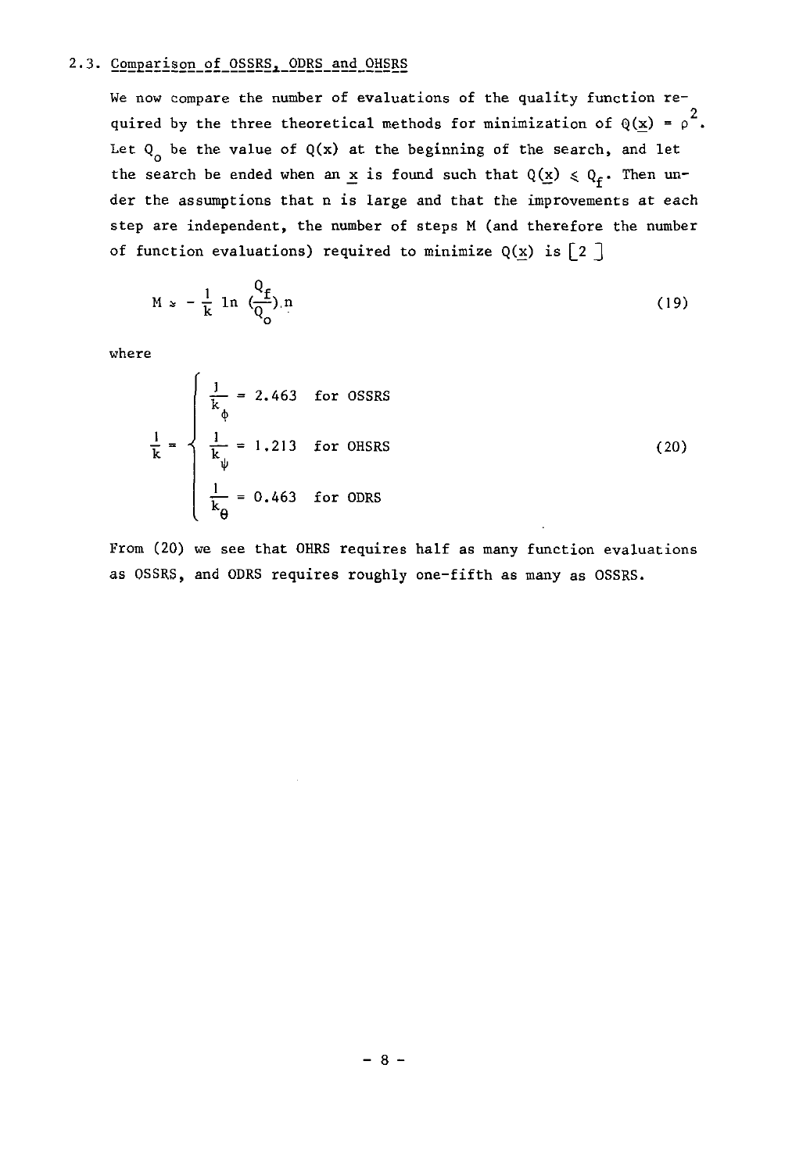#### 2.3. Comparison of OSSRS, ODRS and OHSRS

We now compare the number of evaluations of the quality function required by the three theoretical methods for minimization of  $\mathbb{Q}(\underline{\mathbf{x}})$  =  $\rho^2$ . Let  $Q_0$  be the value of  $Q(x)$  at the beginning of the search, and let the search be ended when an x is found such that  $Q(x) \le Q_f$ . Then under the assumptions that n is large and that the improvements at each step are independent, the number of steps M (and therefore the number of function evaluations) required to minimize  $Q(x)$  is  $\begin{bmatrix} 2 \end{bmatrix}$ 

$$
M \approx -\frac{1}{k} \ln \left( \frac{Q_f}{Q_o} \right) n \tag{19}
$$

where

$$
\frac{1}{k} = \begin{cases}\n\frac{1}{k_{\phi}} = 2.463 & \text{for OSSRS} \\
\frac{1}{k_{\psi}} = 1.213 & \text{for OHSRS} \\
\frac{1}{k_{\theta}} = 0.463 & \text{for ODRS}\n\end{cases}
$$
\n(20)

From (20) we see that OHRS requires half as many function evaluations as OSSRS, and ODRS requires roughly one-fifth as many as OSSRS.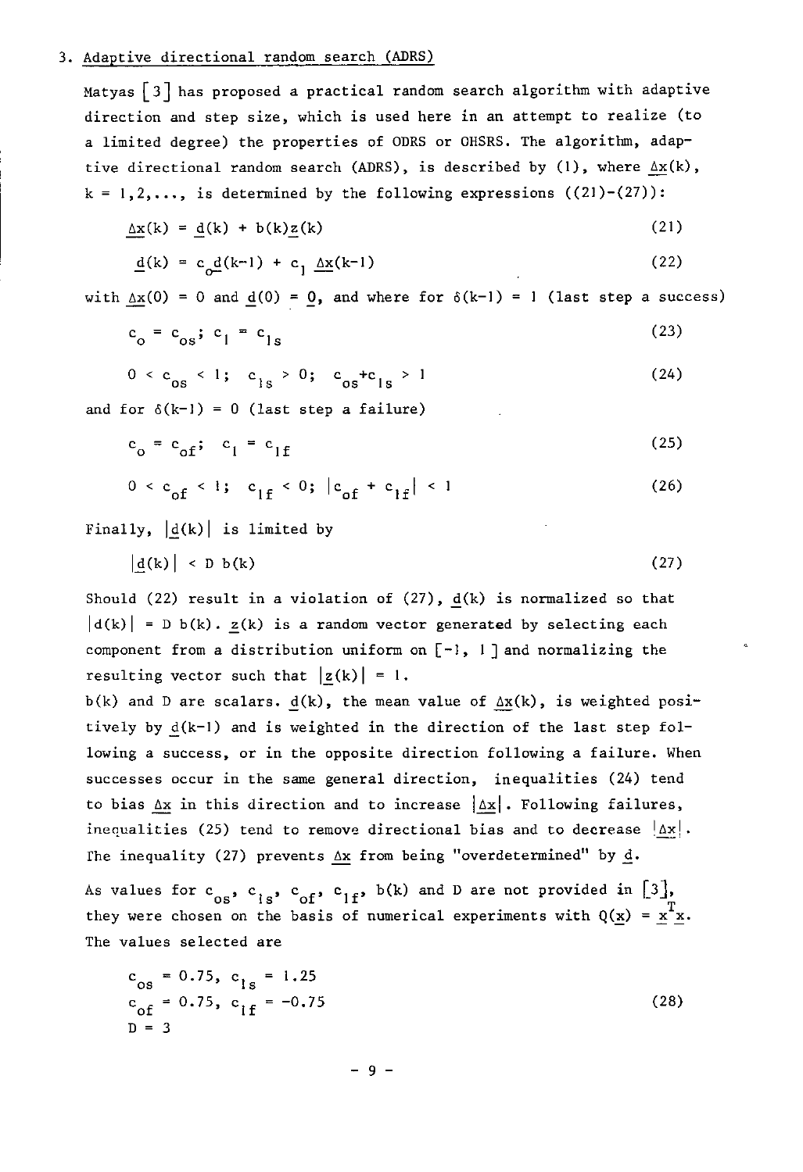#### 3. Adaptive directional random search (ADRS)

Matyas  $\lceil 3 \rceil$  has proposed a practical random search algorithm with adaptive direction and step size, which is used here in an attempt to realize (to a limited degree) the properties of ODRS or OHSRS. The algorithm, adaptive directional random search (ADRS), is described by (1), where  $\Delta x(k)$ ,  $k = 1, 2, ...,$  is determined by the following expressions  $((21)-(27))$ :

$$
\underline{\Delta x}(k) = \underline{d}(k) + b(k)\underline{z}(k) \tag{21}
$$

$$
\underline{\mathbf{d}}(\mathbf{k}) = \mathbf{c}_0 \underline{\mathbf{d}}(\mathbf{k} - 1) + \mathbf{c}_1 \underline{\Delta \mathbf{x}}(\mathbf{k} - 1) \tag{22}
$$

with  $\Delta x(0) = 0$  and  $d(0) = 0$ , and where for  $\delta(k-1) = 1$  (last step a success)

$$
c_o = c_{os}; c_l = c_{ls} \tag{23}
$$

$$
0 < c_{os} < 1; c_{1s} > 0; c_{os} + c_{1s} > 1
$$
\nand for  $\delta(k-1) = 0$  (last step a failure) (24)

$$
c_o = c_{of}; \quad c_l = c_{lf} \tag{25}
$$

$$
0 < c_{of} < 1; \quad c_{1f} < 0; \ |c_{of} + c_{1f}| < 1 \tag{26}
$$

Finally,  $|d(k)|$  is limited by

$$
\left| \underline{\mathbf{d}}(\mathbf{k}) \right| < \mathbf{D} \mathbf{b}(\mathbf{k}) \tag{27}
$$

Should (22) result in a violation of  $(27)$ ,  $\underline{d}(k)$  is normalized so that  $|d(k)| = D b(k)$ .  $z(k)$  is a random vector generated by selecting each component from a distribution uniform on  $[-1, 1]$  and normalizing the resulting vector such that  $|z(k)| = 1$ .

b(k) and D are scalars.  $d(k)$ , the mean value of  $\Delta x(k)$ , is weighted positively by  $d(k-1)$  and is weighted in the direction of the last step following a success, or in the opposite direction following a failure. When successes occur in the same general direction, inequalities (24) tend to bias  $\Delta x$  in this direction and to increase  $|\Delta x|$ . Following failures, inequalities (25) tend to remove directional bias and to decrease  $|\Delta x|$ . The inequality (27) prevents  $\Delta x$  from being "overdetermined" by  $d$ .

As values for  $c^{0.08}$ ,  $c^{1.8}$ ,  $c^{0.08}$ ,  $c^{1.8}$ ,  $c^{1.8}$ ,  $c^{1.8}$ ,  $c^{1.8}$ ,  $c^{1.8}$ ,  $c^{1.8}$ ,  $c^{1.8}$ ,  $c^{1.8}$ ,  $c^{1.8}$ ,  $c^{1.8}$ ,  $c^{1.8}$ ,  $c^{1.8}$ ,  $c^{1.8}$ ,  $c^{1.8}$ ,  $c^{1.8}$ ,  $c^{1.8}$ ,  $c^{1.8}$ ,  $c^{1.$ they were chosen on the basis of numerical experiments with  $Q(x) = x^T x$ . The values selected are

$$
c_{OS} = 0.75, c_{1s} = 1.25
$$
  
\n
$$
c_{of} = 0.75, c_{1f} = -0.75
$$
  
\n
$$
D = 3
$$
 (28)

- 9 -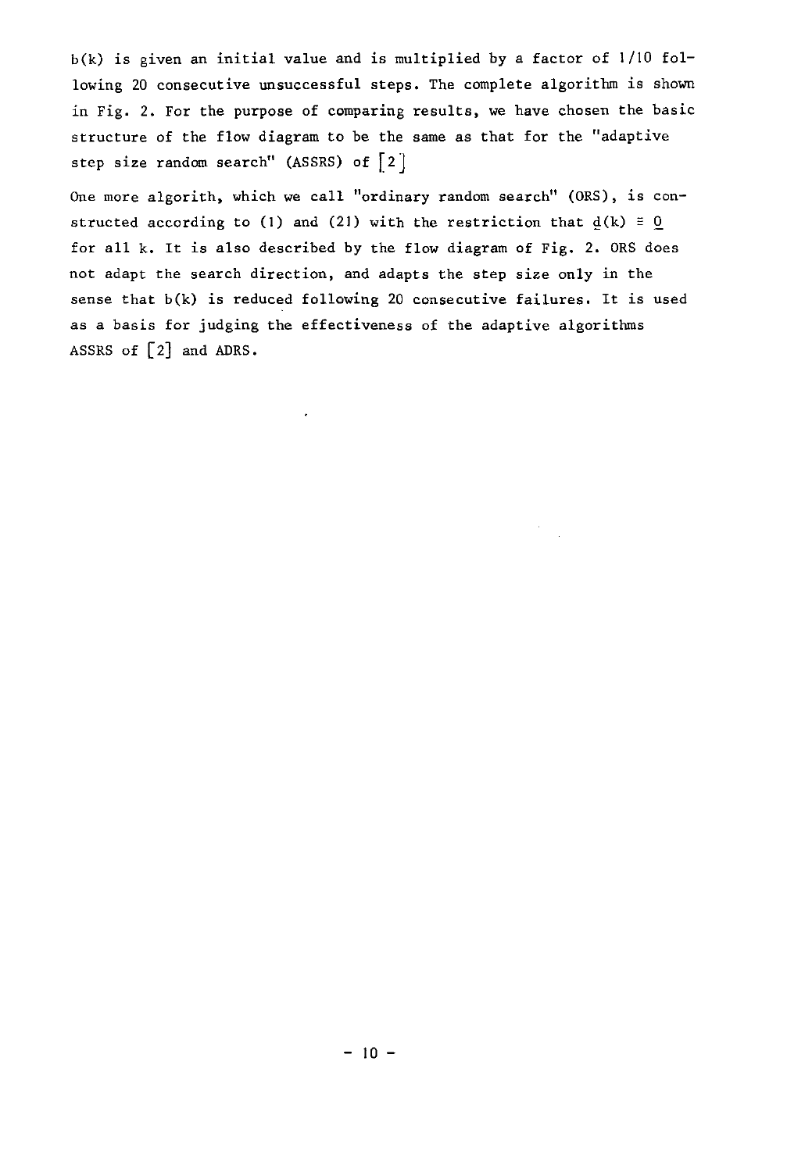$b(k)$  is given an initial value and is multiplied by a factor of  $1/10$  following 20 consecutive unsuccessful steps. The complete algorithm is shown in Fig. 2. For the purpose of comparing results, we have chosen the basic structure of the flow diagram to be the same as that for the "adaptive step size random search" (ASSRS) of [2]

One more algorith, which we call "ordinary random search" *(DRS),* is constructed according to (1) and (21) with the restriction that  $d(k) \equiv 0$ for all k. It is also described by the flow diagram of Fig. 2. ORS does not adapt the search direction, and adapts the step size only in the sense that b(k) is reduced following 20 consecutive failures. It is used as a basis for judging the effectiveness of the adaptive algorithms ASSRS of [2] and ADRS.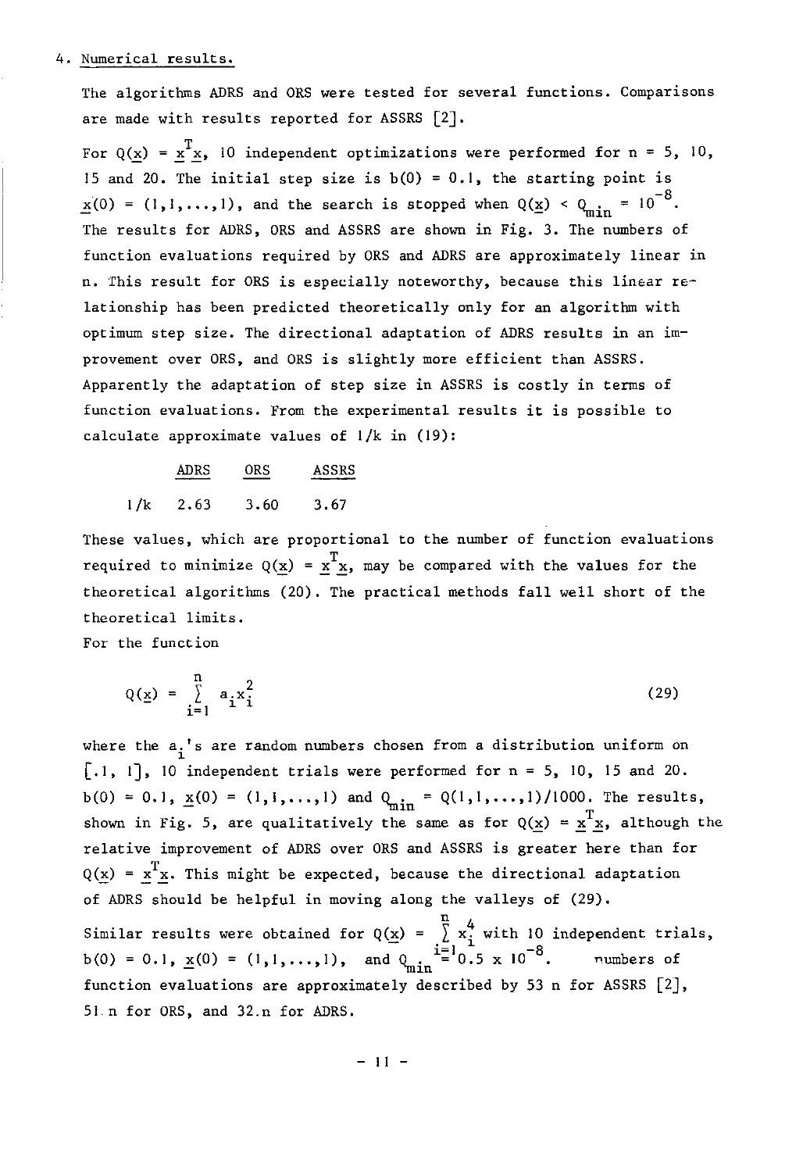#### 4. Numerical results.

The algorithms ADRS and ORS were tested for several functions. Comparisons are made with results reported for ASSRS [2J.

For  $Q(x) = x^Tx$ , 10 independent optimizations were performed for n = 5, 10, 15 and 20. The initial step size is  $b(0) = 0.1$ , the starting point is  $x(0) = (1,1,\ldots,1)$ , and the search is stopped when  $Q(\underline{x}) < Q_{\text{min}} = 10^{-8}$ . The results for ADRS, ORS and ASSRS are shown in Fig. 3. The numbers of function evaluations required by ORS and ADRS are approximately linear in n. This result for ORS is especially noteworthy, because this linear relationship has been predicted theoretically only for an algorithm with optimum step size. The directional adaptation of ADRS results in an improvement over ORS, and ORS is slightly more efficient than ASSRS. Apparently the adaptation of step size in ASSRS is costly in terms of function evaluations. From the experimental results it is possible to calculate approximate values of  $1/k$  in (19):

ADRS ORS ASSRS  $1/k$  2.63 3.60 3.67

These values, which are proportional to the number of function evaluations required to minimize  $Q(\underline{x}) = \underline{x}^T \underline{x}$ , may be compared with the values for the theoretical algorithms (20). The practical methods fall well short of the theoretical limits.

For the function

$$
Q(\underline{x}) = \sum_{i=1}^{n} a_i x_i^2
$$
 (29)

where the  $a_i$ 's are random numbers chosen from a distribution uniform on  $[.1, 1]$ , 10 independent trials were performed for  $n = 5$ , 10, 15 and 20. b(0) = 0.1,  $\underline{x}(0) = (1,1,...,1)$  and  $Q_{\text{min}} = Q(1,1,...,1)/1000$ . The results, shown in Fig. 5, are qualitatively the same as for  $Q(x) = x^{T}x$ , although the relative improvement of ADRS over ORS and ASSRS is greater here than for  $Q(\underline{x}) = \underline{x}^T \underline{x}$ . This might be expected, because the directional adaptation of ADRS should be helpful in moving along the valleys of (29).

Similar results were obtained for  $Q(\underline{x}) = \sum_{i=1}^{n} x_i^4$  with 10 independent trials,<br>b(0) = 0.1, <u>x</u>(0) = (1,1,...,1), and  $Q_{\text{min}} = 0.5 \times 10^{-8}$ . numbers of function evaluations are approximately described by 53 n for ASSRS [2], 51-n for ORS, and 32.n for ADRS.

 $-11 -$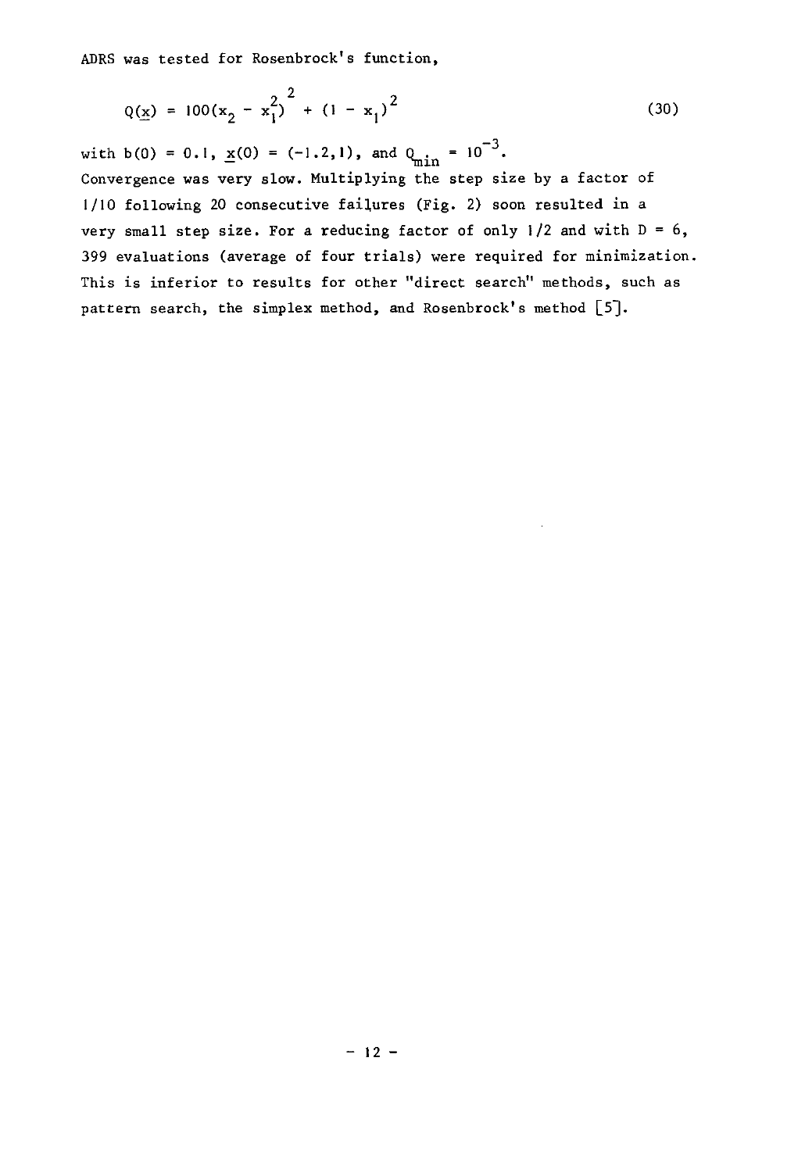ADRS was tested for Rosenbrock's function,

$$
Q(\underline{x}) = 100(x_2 - x_1^2)^2 + (1 - x_1)^2
$$
 (30)

with b(0) = 0.1,  $\underline{x}(0) = (-1.2,1)$ , and  $Q_{\text{min}} = 10^{-3}$ . Convergence was very slow. Multiplying the step size by a factor of  $1/10$  following 20 consecutive failures (Fig. 2) soon resulted in a very small step size. For a reducing factor of only  $1/2$  and with  $D = 6$ , 399 evaluations (average of four trials) were required for minimization. This is inferior to results for other "direct search" methods, such as pattern search, the simplex method, and Rosenbrock's method [5].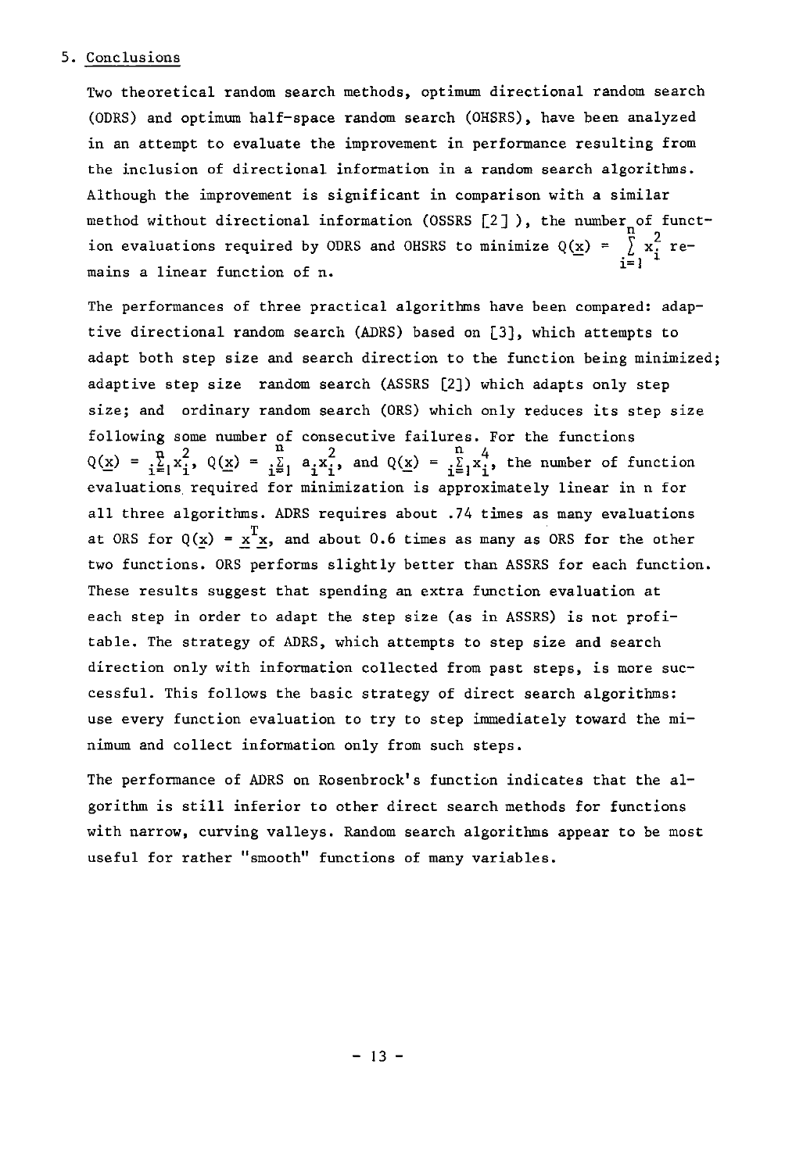#### 5. Conclusions

Two theoretical random search methods, optimum directional random search (ODRS) and optimum half-space random search (OHSRS), have been analyzed in an attempt to evaluate the improvement in performance resulting from the inclusion of directional information in a random search algorithms. Although the improvement is significant in comparison with a similar method without directional information (OSSRS  $[2]$ ), the number of function evaluations required by ODRS and OHSRS to minimize  $Q(\underline{x}) = \sum_{i=1}^{u} x_i^2$  remains a linear function of n.

The performances of three practical algorithms have been compared: adaptive directional random search (ADRS) based on [3], which attempts to adapt both step size and search direction to the function being minimized; adaptive step size random search (ASSRS [2J) which adapts only step size; and ordinary random search (DRS) which only reduces its step size following some number of  $Q(\underline{x}) = \frac{1}{i} \underline{z}_1 x_1, \ Q(\underline{x}) = \frac{1}{i} \underline{z}_1$ consecutive failures. For the functions  $a_i x_i^2$ , and  $Q(\underline{x}) = \frac{n}{i} \sum_{i=1}^{n} x_i^4$ , the number of function evaluations, required for minimization is approximately linear in n for all three algorithms. ADRS requires about .74 times as many evaluations at ORS for  $Q(x) = x^T x$ , and about 0.6 times as many as ORS for the other two functions. DRS performs slightly better than ASSRS for each function. These results suggest that spending an extra function evaluation at each step in order to adapt the step size (as in ASSRS) is not profitable. The strategy of ADRS, which attempts to step size and search direction only with information collected from past steps, is more successful. This follows the basic strategy of direct search algorithms: use every function evaluation to try to step immediately toward the minimum and collect information only from such steps.

The performance of ADRS on Rosenbrock's function indicates that the algorithm is still inferior to other direct search methods for functions with narrow, curving valleys. Random search algorithms appear to be most **useful for rather "smooth" functions of many variables.**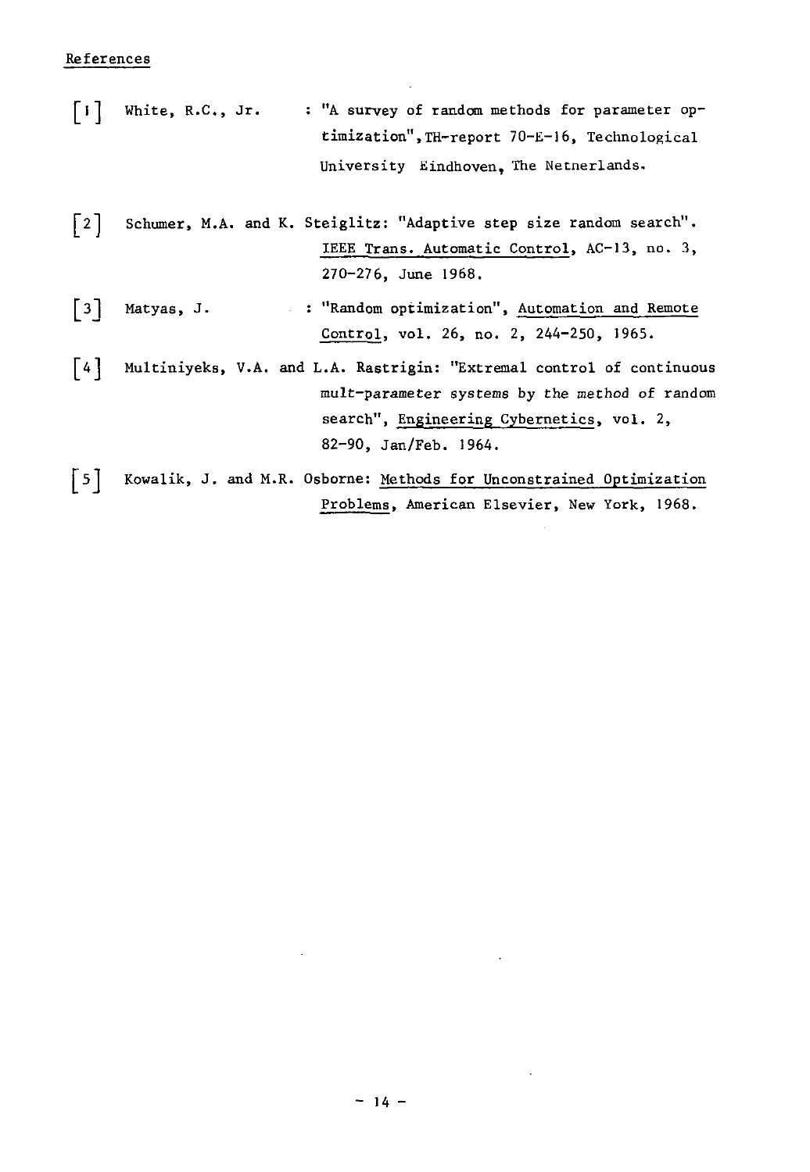#### References

 $\lceil \cdot \rceil$ White, R.C., Jr. : "A survey of random methods for parameter optimization",TH-report 70-E-16, Technological University Eindhoven, The Netnerlands.

[21 Schumer, M.A. and K. Steiglitz: "Adaptive step size random search". IEEE Trans. Automatic Control, AC-13, no. 3, 270-276, June 1968.

 $\lceil 3 \rceil$ **I1Random optimization", Automation and Remote**  Matyas, J. Control, vol. 26, no. 2, 244-250, 1965.

[4] Multiniyeks, V.A. and L.A. Rastrigin: "Extremal control of continuous mult-parameter systems by the method of random search", Engineering Cybernetics, vol. 2, 82-90, Jan/Feb. 1964.

[5] Kowalik, J. and M.R. Osborne: Methods for Unconstrained Optimization Problems, American Elsevier, New York, 1968.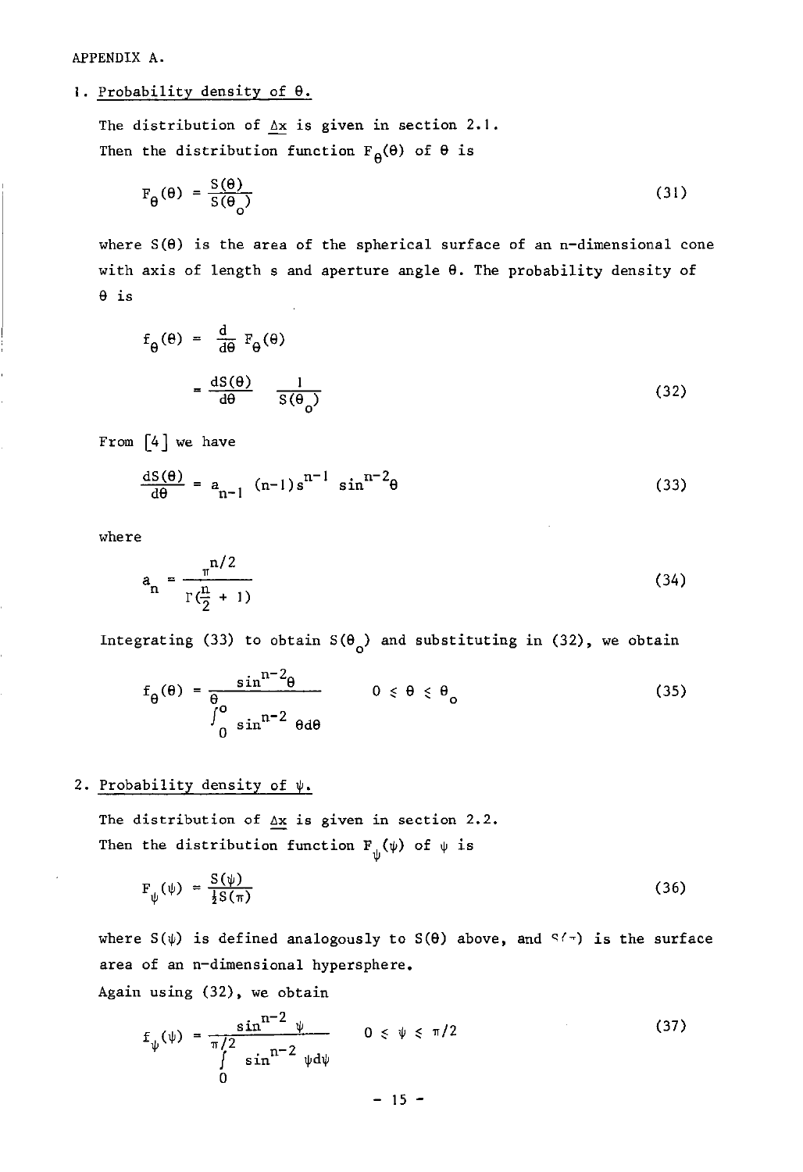APPENDIX A.

I. Probability density of 9.

The distribution of  $\Delta x$  is given in section 2.1. Then the distribution function  $F_{\theta}(\theta)$  of  $\theta$  is

$$
F_{\theta}(\theta) = \frac{S(\theta)}{S(\theta_0)}
$$
 (31)

where  $S(\theta)$  is the area of the spherical surface of an n-dimensional cone with axis of length s and aperture angle  $\theta$ . The probability density of 9 is

$$
f_{\theta}(\theta) = \frac{d}{d\theta} F_{\theta}(\theta)
$$
  
= 
$$
\frac{dS(\theta)}{d\theta} = \frac{1}{S(\theta_0)}
$$
 (32)

From  $[4]$  we have

$$
\frac{\mathrm{d}S(\theta)}{\mathrm{d}\theta} = a_{n-1} \left( n-1 \right) s^{n-1} \sin^{n-2} \theta \tag{33}
$$

where

$$
a_n = \frac{\pi^{n/2}}{\Gamma(\frac{n}{2} + 1)}
$$
 (34)

Integrating (33) to obtain  $S(\theta_0)$  and substituting in (32), we obtain

$$
f_{\theta}(\theta) = \frac{\sin^{n-2}\theta}{\int_{0}^{\theta} \sin^{n-2}\theta d\theta} \qquad 0 \le \theta \le \theta_{o}
$$
 (35)

#### 2. Probability density of  $\psi$ .

The distribution of  $\Delta x$  is given in section 2.2. Then the distribution function F~(~) of ~ is

$$
F_{\psi}(\psi) = \frac{S(\psi)}{\frac{1}{2}S(\pi)}
$$
 (36)

where  $S(\psi)$  is defined analogously to  $S(\theta)$  above, and  $S(\pi)$  is the surface area of an n-dimensional hypersphere.

Again using (32), we obtain

$$
f_{\psi}(\psi) = \frac{\sin^{n-2} \psi}{\int_{0}^{1/2} \sin^{n-2} \psi d\psi} \qquad 0 \le \psi \le \pi/2
$$
 (37)  
- 15 -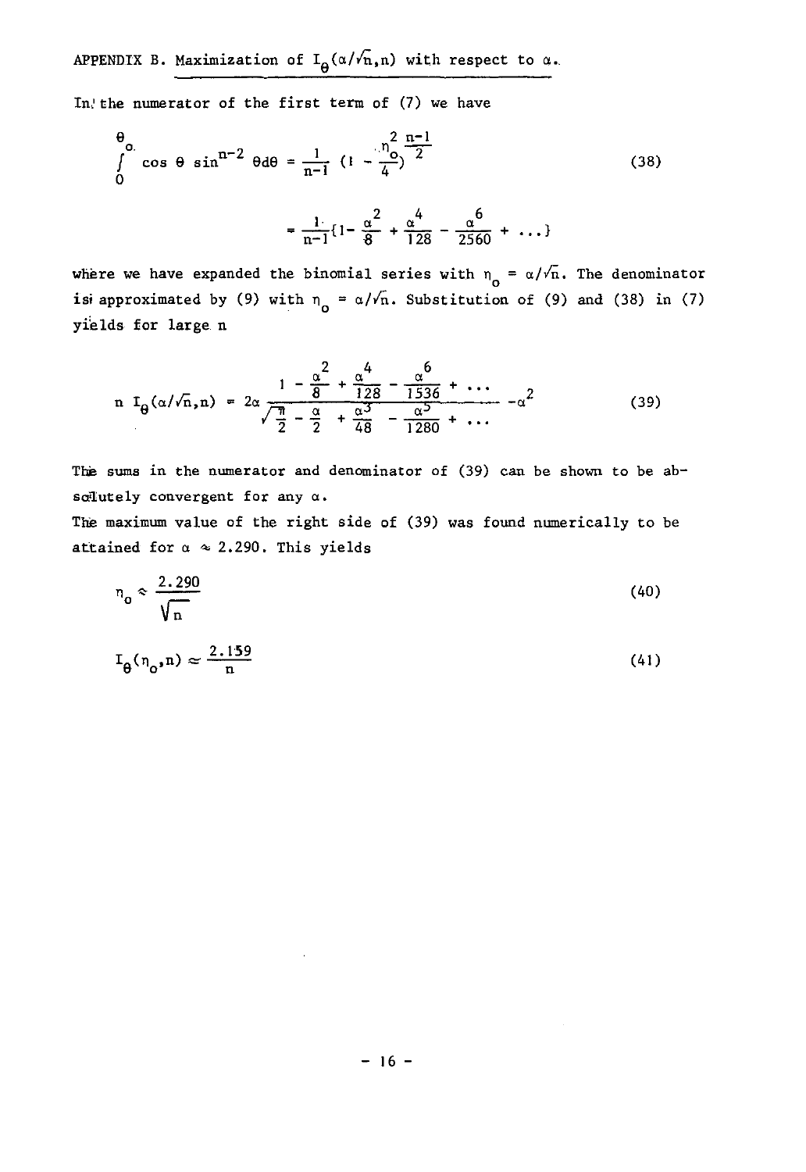APPENDIX B. Maximization of  $I_{\theta}(\alpha/\sqrt{n},n)$  with respect to  $\alpha$ .

In'the numerator of the first term of (7) we have

$$
\frac{\theta}{\theta} \cos \theta \sin^{n-2} \theta d\theta = \frac{1}{n-1} \left( 1 - \frac{n_0^2}{4} \right)^{\frac{n-1}{2}}
$$
(38)  

$$
= \frac{1}{n-1} \left\{ 1 - \frac{\alpha^2}{8} + \frac{\alpha^4}{128} - \frac{\alpha^6}{2560} + \dots \right\}
$$

where we have expanded the binomial series with  $n_0 = \alpha/\sqrt{n}$ . The denominator is approximated by (9) with  $n_0 = \alpha/\sqrt{n}$ . Substitution of (9) and (38) in (7) yields for large n

$$
n I_{\theta}(\alpha/\sqrt{n},n) = 2\alpha \frac{1 - \frac{\alpha^2}{8} + \frac{\alpha^4}{128} - \frac{\alpha^6}{1536} + \cdots}{\frac{\pi}{2} - \frac{\alpha}{2} + \frac{\alpha^3}{48} - \frac{\alpha^5}{1280} + \cdots} - \alpha^2
$$
(39)

The sums in the numerator and denominator of (39) can be shown to be absolutely convergent for any  $\alpha$ .

The maximum value of the right side of (39) was found numerically to be attained for  $\alpha \approx 2.290$ . This yields

$$
n_o \approx \frac{2.290}{\sqrt{n}}\tag{40}
$$

$$
I_{\theta}(n_o, n) \approx \frac{2.159}{n} \tag{41}
$$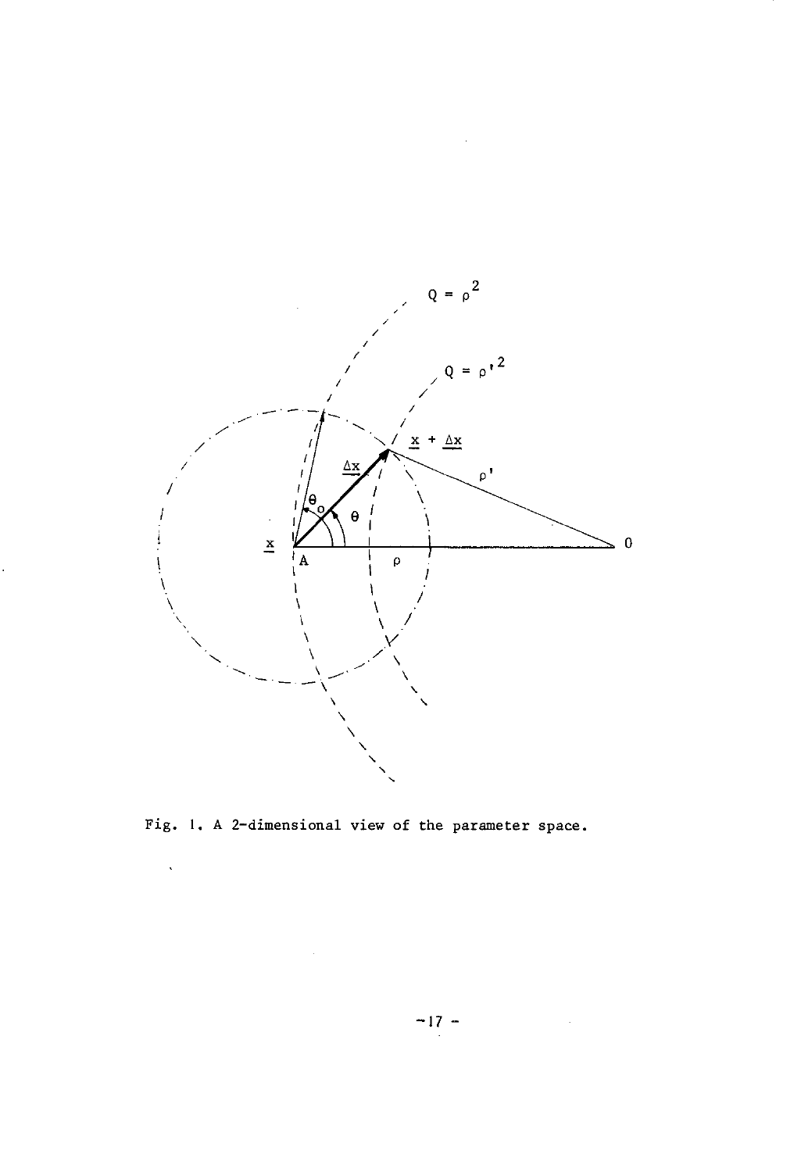

Fig. **I.** A 2-dimensional view of the parameter space.

 $\infty$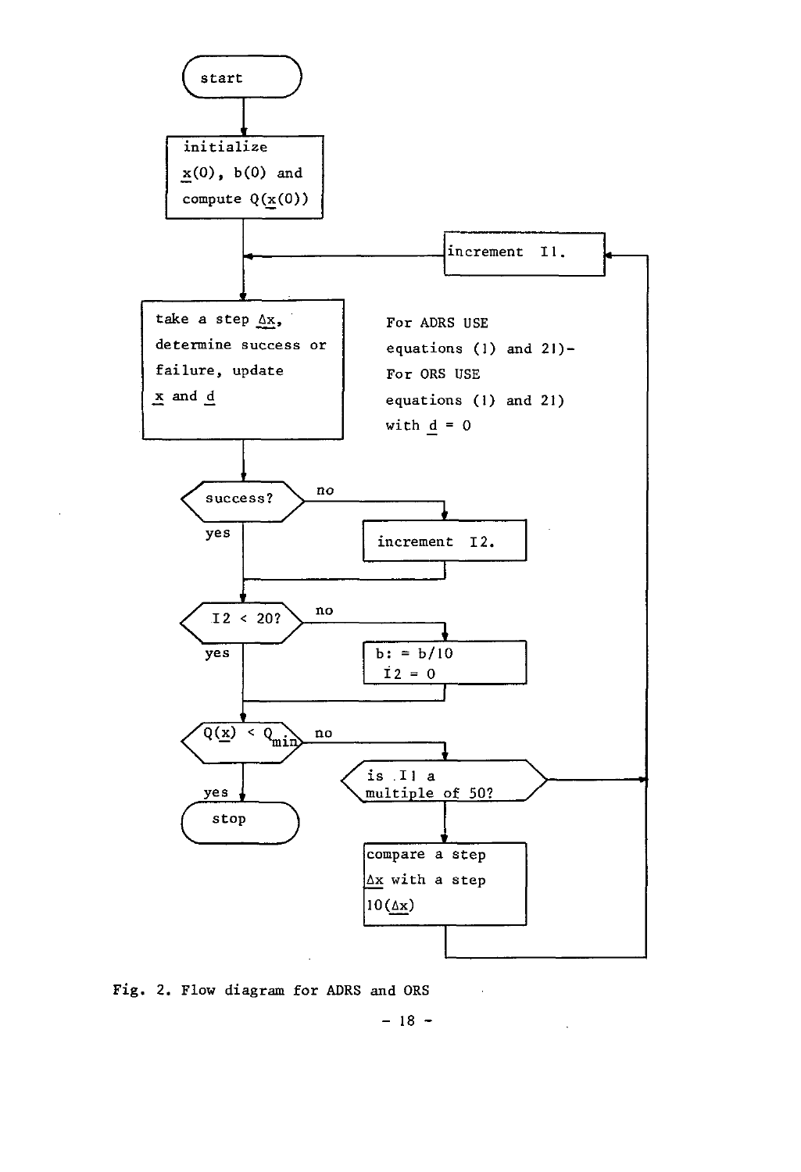

Fig. 2. Flow diagram for ADRS and DRS

 $- 18 -$ 

 $\bar{\mathcal{A}}$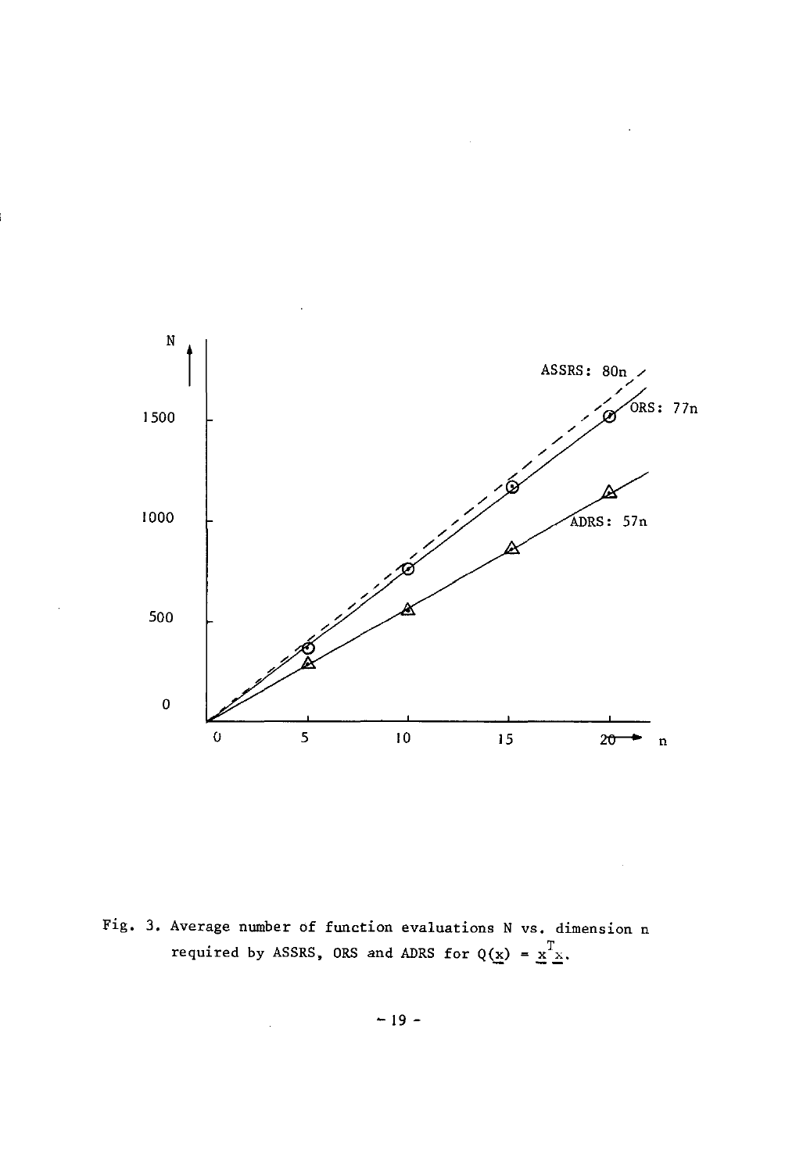

Fig. 3. Average number of function evaluations N vs. dimension n required by ASSRS, ORS and ADRS for  $Q(\underline{x}) = \underline{x}^T \underline{x}$ .

 $\hat{\mathcal{A}}$ 

 $-19-$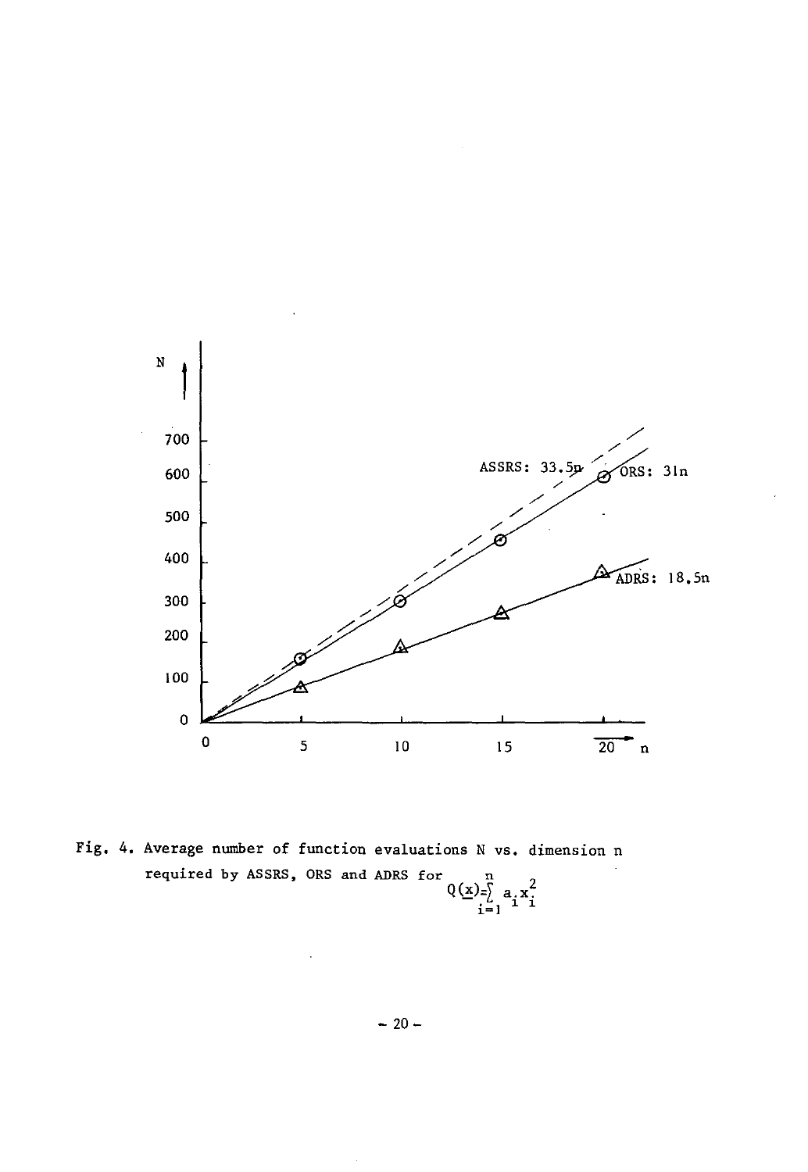

Fig. 4. Average number of function evaluations N vs. dimension n required by ASSRS, ORS and ADRS for  $Q(\underline{x}) = \int_{\underline{i}=1}^{n} a_i x_i^2$ 

 $-20-$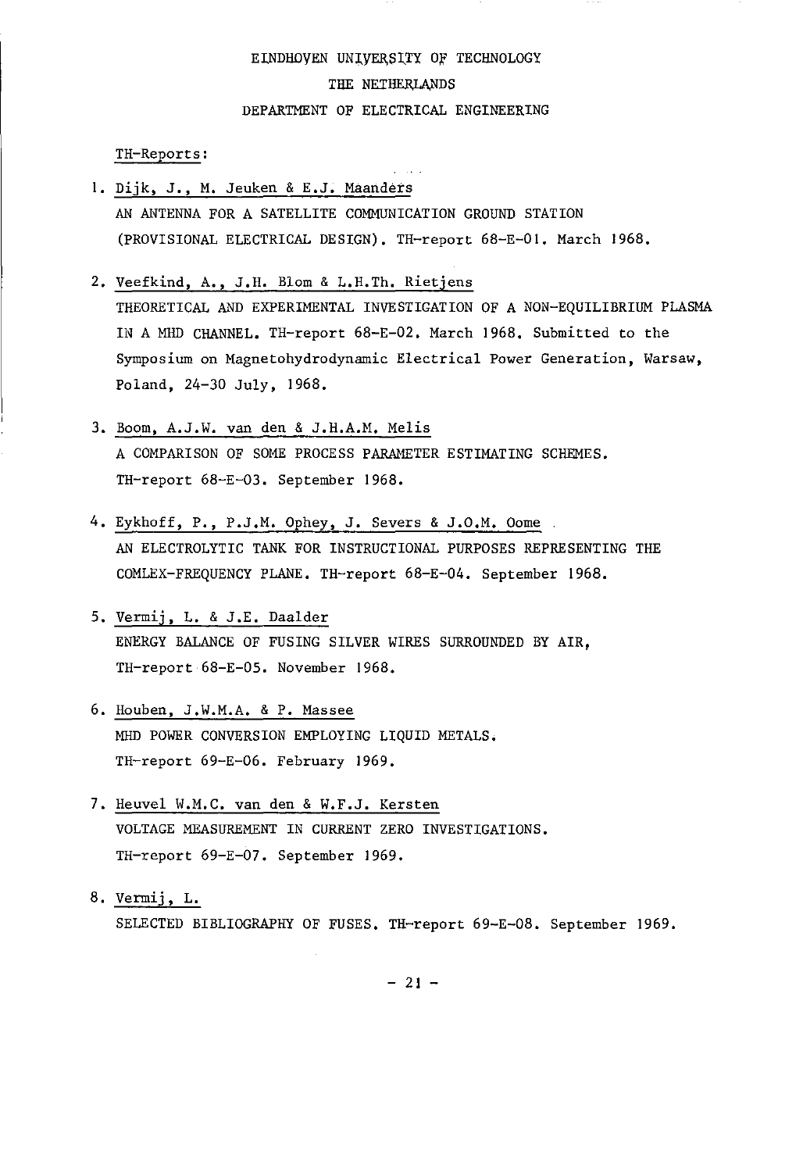## EINDHOYEN UNIVERSITY OF TECHNOLOGY THE NETHERLANDS DEPARTMENT OF ELECTRICAL ENGINEERING

TH-Reports:

- I. Dijk, J., M. Jeuken & E.J. Maanders AN ANTENNA FOR A SATELLITE COMMUNICATION GROUND STATION (PROVISIONAL ELECTRICAL DESIGN). TR-report 68-E-OI. March 1968.
- 2. Veefkind, A., J.R. Blom & L.R.Th. Rietjens THEORETICAL AND EXPERIMENTAL INVESTIGATION OF A NON-EQUILIBRIUM PLASMA IN A MHD CHANNEL. TR-report 68-E-02. March 1968. Submitted to the Symposium on Magnetohydrodynamic Electrical Power Generation, Warsaw, Poland, 24-30 July, 1968.
- 3. Boom, A.J.W. van den & J.R.A.M. Melis A COMPARISON OF SOME PROCESS PARAMETER ESTIMATING SCHEMES. TH-report 68-E-03. September 1968.
- 4. Eykhoff, P., P.J.M. Ophey, J. Severs & J.O.M. Oome AI' ELECTROLYTIC TANK FOR INSTRUCTIONAL PURPOSES REPRESENTING THE COMLEX-FREQUENCY PLANE. TH-report 68-E-04. September 1968.
- 5. Vermij, L. & J.E. Daalder ENERGY BALANCE OF FUSING SILVER WIRES SURROUNDED BY AIR, TH-report 68-E-05. November 1968.
- 6. Houben, J.W.M.A. & P. Massee MHD POWER CONVERSION EMPLOYING LIQUID METALS. TH-report 69-E-06. February 1969.
- 7. Heuvel W.M.C. van den & W.F.J. Kersten VOLTAGE MEASUREMENT IN CURRENT ZERO INVESTIGATIONS. TH-report 69-E-07. September 1969.
- 8. Vermij, L. SELECTED BIBLIOGRAPHY OF FUSES. TH-report 69-E-08. September 1969.

 $-21 -$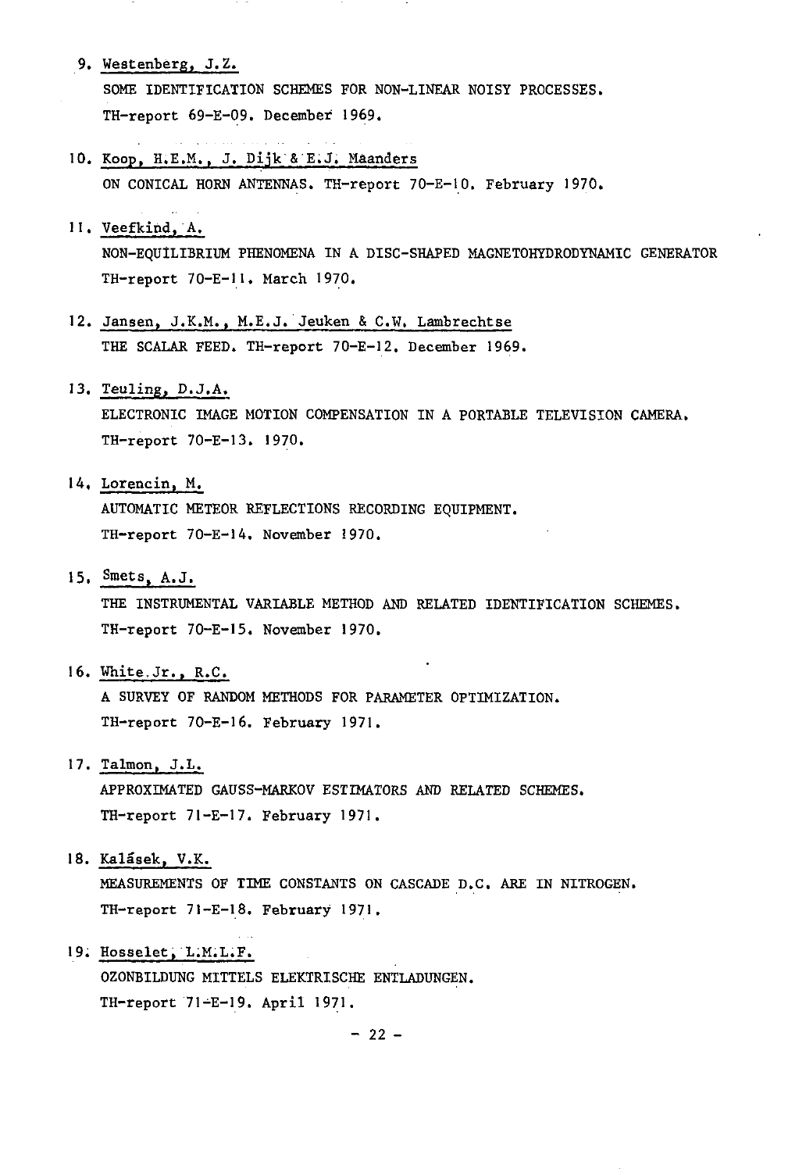9. Westenberg, J.Z.

SOME IDENTIFICATION SCHEMES FOR NON-LINEAR NOISY PROCESSES. TH-report 69-E-09. December 1969.

- 10. Koop, H.E.M., J. Dijk'&'E;J; Maanders ON CONICAL HORN ANTENNAS. TH-report 70-E-IO. February 1970.
- 11. Veefkind, A. NON-EQUiLIBRIUM PHENOMENA IN A DISC-SHAPED MAGNETOHYDRODYNAMIC GENERATOR TH-report 70-E-II. March 1970.
- 12. Jansen, J.K.M., M.E.J.'Jeuken & C.W. Lambrechtse THE SCALAR FEED. TH-report 70-E-I2. December 1969.
- 13. Teuling, D.J.A.

ELECTRONIC IMAGE MOTION COMPENSATION IN A PORTABLE TELEVISION CAMERA. TH-report 70-E-13. 1970.

14. Lorencin, M.

AUTOMATIC METEOR REFLECTIONS RECORDING EQUIPMENT. TH-report 70-E-14. November 1970.

15. Smets, A.J.

THE INSTRUMENTAL VARIABLE METHOD AND RELATED IDENTIFICATION SCHEMES. TH-report 70-E-IS. November 1970.

16. White,Jr., R.C.

A SURVEY OF RANDOM METHODS FOR PARAMETER OPTIMIZATION. TH-report 70-E-16. February 1971.

17. Talmon, J.L.

APPROXIMATED GAUSS-MARKOV ESTIMATORS AND RELATED SCHEMES. TH-report 71-E-17. February 1971.

18. Kalásek, V.K.

MEASUREMENTS OF TIME CONSTANTS ON CASCADE D.C. ARE IN NITROGEN. TH-report 71-E-18. February 1971.

19. Hosselet, L.M.L.F.

OZONBILDUNG MITTELS ELEKTRISCHE ENTLADUNGEN. TH-report 71-E-19. April 1971.

 $-22 -$